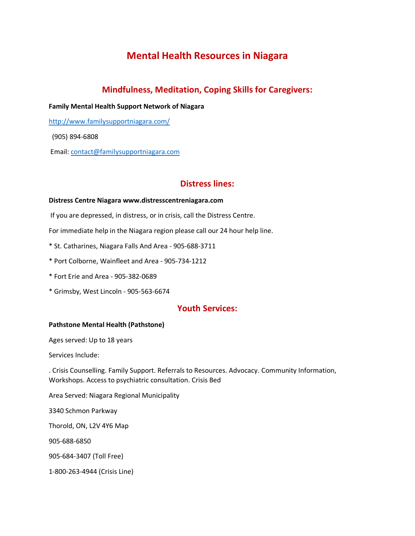# **Mental Health Resources in Niagara**

# **Mindfulness, Meditation, Coping Skills for Caregivers:**

**Family Mental Health Support Network of Niagara**

<http://www.familysupportniagara.com/>

(905) 894-6808

Email[: contact@familysupportniagara.com](mailto:contact@familysupportniagara.com)

## **Distress lines:**

### **Distress Centre Niagara www.distresscentreniagara.com**

If you are depressed, in distress, or in crisis, call the Distress Centre.

For immediate help in the Niagara region please call our 24 hour help line.

\* St. Catharines, Niagara Falls And Area - 905-688-3711

\* Port Colborne, Wainfleet and Area - 905-734-1212

\* Fort Erie and Area - 905-382-0689

\* Grimsby, West Lincoln - 905-563-6674

## **Youth Services:**

### **Pathstone Mental Health (Pathstone)**

Ages served: Up to 18 years

Services Include:

. Crisis Counselling. Family Support. Referrals to Resources. Advocacy. Community Information, Workshops. Access to psychiatric consultation. Crisis Bed

Area Served: Niagara Regional Municipality

3340 Schmon Parkway

Thorold, ON, L2V 4Y6 Map

905-688-6850

905-684-3407 (Toll Free)

1-800-263-4944 (Crisis Line)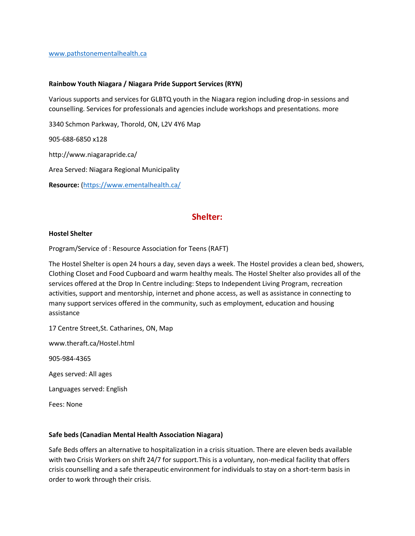#### [www.pathstonementalhealth.ca](http://www.pathstonementalhealth.ca/)

### **Rainbow Youth Niagara / Niagara Pride Support Services (RYN)**

Various supports and services for GLBTQ youth in the Niagara region including drop-in sessions and counselling. Services for professionals and agencies include workshops and presentations. more

3340 Schmon Parkway, Thorold, ON, L2V 4Y6 Map

905-688-6850 x128

http://www.niagarapride.ca/

Area Served: Niagara Regional Municipality

**Resource:** [\(https://www.ementalhealth.ca/](https://www.ementalhealth.ca/)

## **Shelter:**

#### **Hostel Shelter**

Program/Service of : Resource Association for Teens (RAFT)

The Hostel Shelter is open 24 hours a day, seven days a week. The Hostel provides a clean bed, showers, Clothing Closet and Food Cupboard and warm healthy meals. The Hostel Shelter also provides all of the services offered at the Drop In Centre including: Steps to Independent Living Program, recreation activities, support and mentorship, internet and phone access, as well as assistance in connecting to many support services offered in the community, such as employment, education and housing assistance

17 Centre Street,St. Catharines, ON, Map

www.theraft.ca/Hostel.html

905-984-4365

Ages served: All ages

Languages served: English

Fees: None

#### **Safe beds (Canadian Mental Health Association Niagara)**

Safe Beds offers an alternative to hospitalization in a crisis situation. There are eleven beds available with two Crisis Workers on shift 24/7 for support.This is a voluntary, non-medical facility that offers crisis counselling and a safe therapeutic environment for individuals to stay on a short-term basis in order to work through their crisis.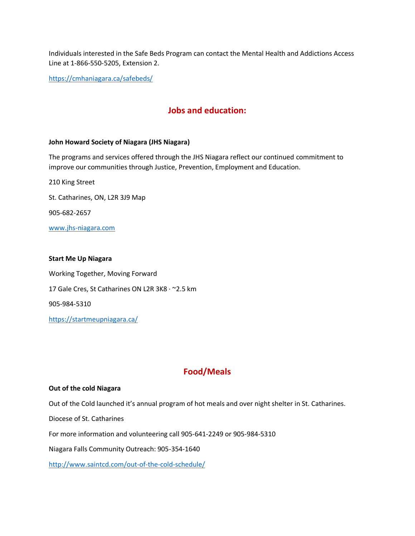Individuals interested in the Safe Beds Program can contact the Mental Health and Addictions Access Line at 1-866-550-5205, Extension 2.

<https://cmhaniagara.ca/safebeds/>

# **Jobs and education:**

#### **John Howard Society of Niagara (JHS Niagara)**

The programs and services offered through the JHS Niagara reflect our continued commitment to improve our communities through Justice, Prevention, Employment and Education.

210 King Street St. Catharines, ON, L2R 3J9 Map 905-682-2657 [www.jhs-niagara.com](http://www.jhs-niagara.com/)

### **Start Me Up Niagara**

Working Together, Moving Forward 17 Gale Cres, St Catharines ON L2R 3K8 · ~ 2.5 km 905-984-5310 <https://startmeupniagara.ca/>

# **Food/Meals**

#### **Out of the cold Niagara**

Out of the Cold launched it's annual program of hot meals and over night shelter in St. Catharines.

Diocese of St. Catharines

For more information and volunteering call 905-641-2249 or 905-984-5310

Niagara Falls Community Outreach: 905-354-1640

<http://www.saintcd.com/out-of-the-cold-schedule/>